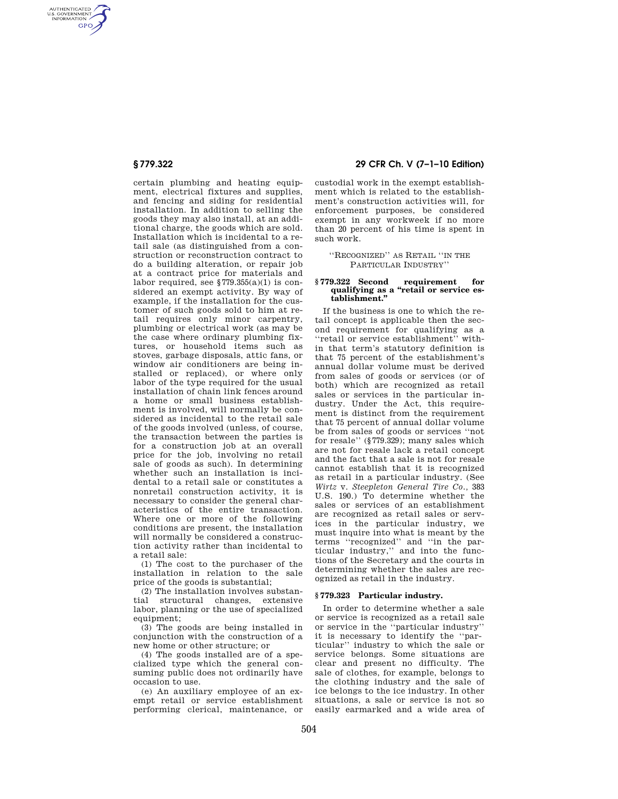AUTHENTICATED<br>U.S. GOVERNMENT<br>INFORMATION **GPO** 

> certain plumbing and heating equipment, electrical fixtures and supplies, and fencing and siding for residential installation. In addition to selling the goods they may also install, at an additional charge, the goods which are sold. Installation which is incidental to a retail sale (as distinguished from a construction or reconstruction contract to do a building alteration, or repair job at a contract price for materials and labor required, see  $$779.355(a)(1)$  is considered an exempt activity. By way of example, if the installation for the customer of such goods sold to him at retail requires only minor carpentry, plumbing or electrical work (as may be the case where ordinary plumbing fixtures, or household items such as stoves, garbage disposals, attic fans, or window air conditioners are being installed or replaced), or where only labor of the type required for the usual installation of chain link fences around a home or small business establishment is involved, will normally be considered as incidental to the retail sale of the goods involved (unless, of course, the transaction between the parties is for a construction job at an overall price for the job, involving no retail sale of goods as such). In determining whether such an installation is incidental to a retail sale or constitutes a nonretail construction activity, it is necessary to consider the general characteristics of the entire transaction. Where one or more of the following conditions are present, the installation will normally be considered a construction activity rather than incidental to a retail sale:

(1) The cost to the purchaser of the installation in relation to the sale price of the goods is substantial;

(2) The installation involves substantial structural changes, extensive labor, planning or the use of specialized equipment:

(3) The goods are being installed in conjunction with the construction of a new home or other structure; or

(4) The goods installed are of a specialized type which the general consuming public does not ordinarily have occasion to use.

(e) An auxiliary employee of an exempt retail or service establishment performing clerical, maintenance, or

# **§ 779.322 29 CFR Ch. V (7–1–10 Edition)**

custodial work in the exempt establishment which is related to the establishment's construction activities will, for enforcement purposes, be considered exempt in any workweek if no more than 20 percent of his time is spent in such work.

''RECOGNIZED'' AS RETAIL ''IN THE PARTICULAR INDUSTRY''

#### **§ 779.322 Second requirement for qualifying as a ''retail or service establishment.''**

If the business is one to which the retail concept is applicable then the second requirement for qualifying as a ''retail or service establishment'' within that term's statutory definition is that 75 percent of the establishment's annual dollar volume must be derived from sales of goods or services (or of both) which are recognized as retail sales or services in the particular industry. Under the Act, this requirement is distinct from the requirement that 75 percent of annual dollar volume be from sales of goods or services ''not for resale'' (§779.329); many sales which are not for resale lack a retail concept and the fact that a sale is not for resale cannot establish that it is recognized as retail in a particular industry. (See *Wirtz* v. *Steepleton General Tire Co.,* 383 U.S. 190.) To determine whether the sales or services of an establishment are recognized as retail sales or services in the particular industry, we must inquire into what is meant by the terms ''recognized'' and ''in the particular industry,'' and into the functions of the Secretary and the courts in determining whether the sales are recognized as retail in the industry.

## **§ 779.323 Particular industry.**

In order to determine whether a sale or service is recognized as a retail sale or service in the ''particular industry'' it is necessary to identify the ''particular'' industry to which the sale or service belongs. Some situations are clear and present no difficulty. The sale of clothes, for example, belongs to the clothing industry and the sale of ice belongs to the ice industry. In other situations, a sale or service is not so easily earmarked and a wide area of